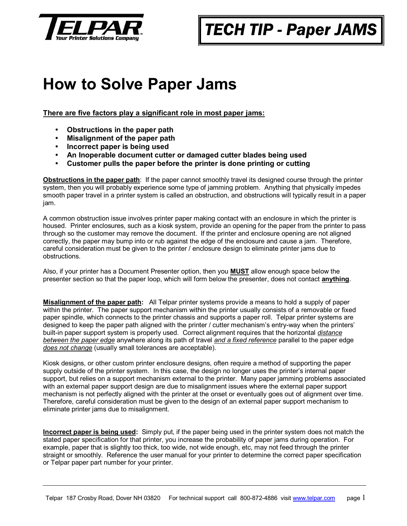

## *TECH TIP - Paper JAMS*

## **How to Solve Paper Jams**

**There are five factors play a significant role in most paper jams:**

- **Obstructions in the paper path**
- y **Misalignment of the paper path**
- y **Incorrect paper is being used**
- y **An Inoperable document cutter or damaged cutter blades being used**
- y **Customer pulls the paper before the printer is done printing or cutting**

**Obstructions in the paper path**: If the paper cannot smoothly travel its designed course through the printer system, then you will probably experience some type of jamming problem. Anything that physically impedes smooth paper travel in a printer system is called an obstruction, and obstructions will typically result in a paper jam.

A common obstruction issue involves printer paper making contact with an enclosure in which the printer is housed. Printer enclosures, such as a kiosk system, provide an opening for the paper from the printer to pass through so the customer may remove the document. If the printer and enclosure opening are not aligned correctly, the paper may bump into or rub against the edge of the enclosure and cause a jam. Therefore, careful consideration must be given to the printer / enclosure design to eliminate printer jams due to obstructions.

Also, if your printer has a Document Presenter option, then you **MUST** allow enough space below the presenter section so that the paper loop, which will form below the presenter, does not contact **anything**.

**Misalignment of the paper path:** All Telpar printer systems provide a means to hold a supply of paper within the printer. The paper support mechanism within the printer usually consists of a removable or fixed paper spindle, which connects to the printer chassis and supports a paper roll. Telpar printer systems are designed to keep the paper path aligned with the printer / cutter mechanism's entry-way when the printers' built-in paper support system is properly used. Correct alignment requires that the horizontal *distance between the paper edge* anywhere along its path of travel *and a fixed reference* parallel to the paper edge *does not change* (usually small tolerances are acceptable).

Kiosk designs, or other custom printer enclosure designs, often require a method of supporting the paper supply outside of the printer system. In this case, the design no longer uses the printer's internal paper support, but relies on a support mechanism external to the printer. Many paper jamming problems associated with an external paper support design are due to misalignment issues where the external paper support mechanism is not perfectly aligned with the printer at the onset or eventually goes out of alignment over time. Therefore, careful consideration must be given to the design of an external paper support mechanism to eliminate printer jams due to misalignment.

**Incorrect paper is being used:** Simply put, if the paper being used in the printer system does not match the stated paper specification for that printer, you increase the probability of paper jams during operation. For example, paper that is slightly too thick, too wide, not wide enough, etc, may not feed through the printer straight or smoothly. Reference the user manual for your printer to determine the correct paper specification or Telpar paper part number for your printer.